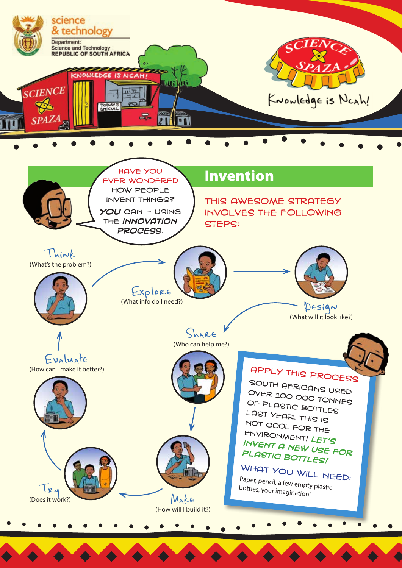